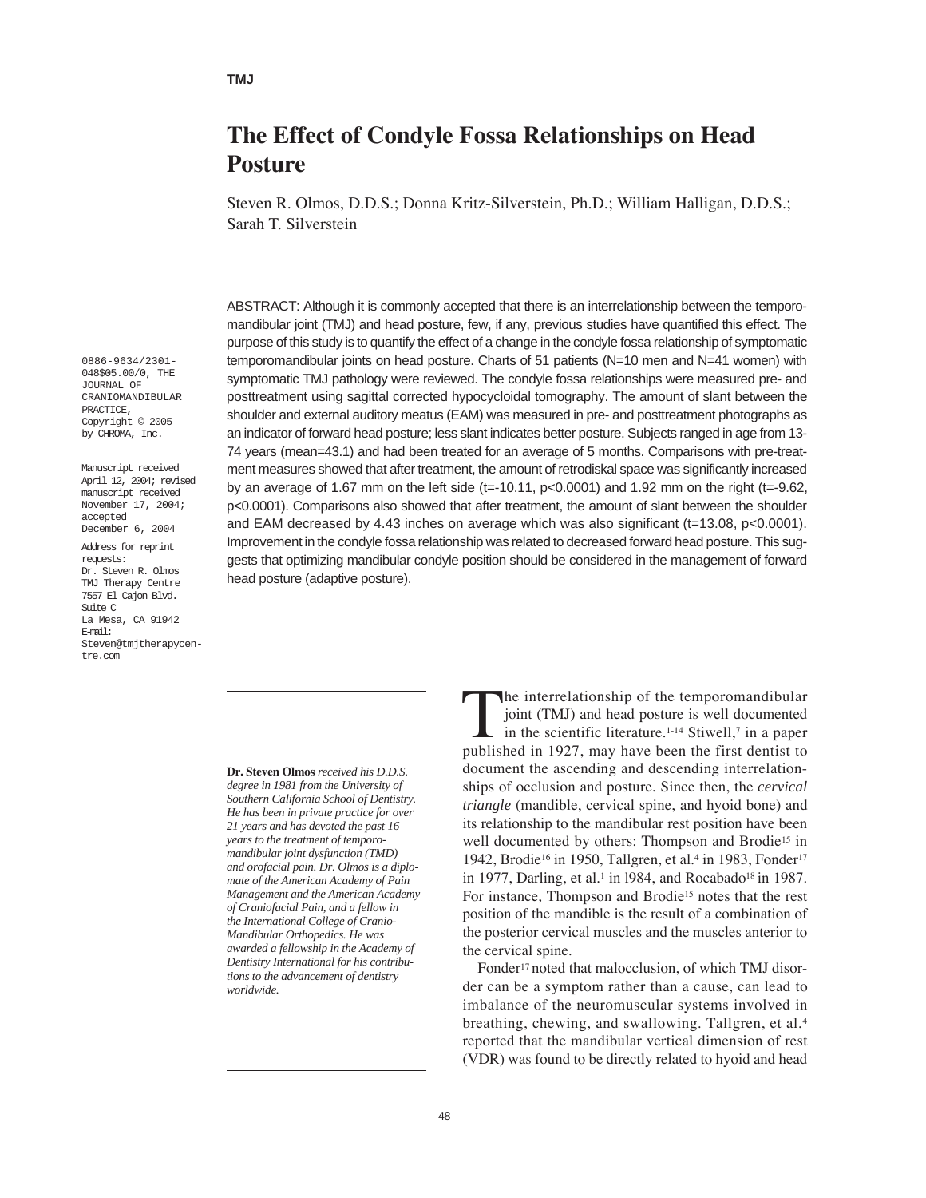# **The Effect of Condyle Fossa Relationships on Head Posture**

Steven R. Olmos, D.D.S.; Donna Kritz-Silverstein, Ph.D.; William Halligan, D.D.S.; Sarah T. Silverstein

ABSTRACT: Although it is commonly accepted that there is an interrelationship between the temporomandibular joint (TMJ) and head posture, few, if any, previous studies have quantified this effect. The purpose of this study is to quantify the effect of a change in the condyle fossa relationship of symptomatic temporomandibular joints on head posture. Charts of 51 patients (N=10 men and N=41 women) with symptomatic TMJ pathology were reviewed. The condyle fossa relationships were measured pre- and posttreatment using sagittal corrected hypocycloidal tomography. The amount of slant between the shoulder and external auditory meatus (EAM) was measured in pre- and posttreatment photographs as an indicator of forward head posture; less slant indicates better posture. Subjects ranged in age from 13- 74 years (mean=43.1) and had been treated for an average of 5 months. Comparisons with pre-treatment measures showed that after treatment, the amount of retrodiskal space was significantly increased by an average of 1.67 mm on the left side (t=-10.11,  $p<0.0001$ ) and 1.92 mm on the right (t=-9.62, p<0.0001). Comparisons also showed that after treatment, the amount of slant between the shoulder and EAM decreased by 4.43 inches on average which was also significant (t=13.08, p<0.0001). Improvement in the condyle fossa relationship was related to decreased forward head posture. This suggests that optimizing mandibular condyle position should be considered in the management of forward head posture (adaptive posture).

**Dr. Steven Olmos** *received his D.D.S. degree in 1981 from the University of Southern California School of Dentistry. He has been in private practice for over 21 years and has devoted the past 16 years to the treatment of temporomandibular joint dysfunction (TMD) and orofacial pain. Dr. Olmos is a diplomate of the American Academy of Pain Management and the American Academy of Craniofacial Pain, and a fellow in the International College of Cranio-Mandibular Orthopedics. He was awarded a fellowship in the Academy of Dentistry International for his contributions to the advancement of dentistry worldwide.*

The interrelationship of the temporomandibular<br>joint (TMJ) and head posture is well documented<br>in the scientific literature.<sup>1-14</sup> Stiwell,<sup>7</sup> in a paper<br>published in 1927 may have been the first dentist to joint (TMJ) and head posture is well documented in the scientific literature.1-14 Stiwell,7 in a paper published in 1927, may have been the first dentist to document the ascending and descending interrelationships of occlusion and posture. Since then, the *cervical triangle* (mandible, cervical spine, and hyoid bone) and its relationship to the mandibular rest position have been well documented by others: Thompson and Brodie<sup>15</sup> in 1942, Brodie<sup>16</sup> in 1950, Tallgren, et al.<sup>4</sup> in 1983, Fonder<sup>17</sup> in 1977, Darling, et al.<sup>1</sup> in 1984, and Rocabado<sup>18</sup> in 1987. For instance, Thompson and Brodie<sup>15</sup> notes that the rest position of the mandible is the result of a combination of the posterior cervical muscles and the muscles anterior to the cervical spine.

Fonder<sup>17</sup> noted that malocclusion, of which TMJ disorder can be a symptom rather than a cause, can lead to imbalance of the neuromuscular systems involved in breathing, chewing, and swallowing. Tallgren, et al.4 reported that the mandibular vertical dimension of rest (VDR) was found to be directly related to hyoid and head

0886-9634/2301- 048\$05.00/0, THE JOURNAL OF CRANIOMANDIBULAR PRACTICE, Copyright © 2005 by CHROMA, Inc.

Manuscript received April 12, 2004; revised manuscript received November 17, 2004; accepted December 6, 2004

Address for reprint requests: Dr. Steven R. Olmos TMJ Therapy Centre 7557 El Cajon Blvd. Suite C La Mesa, CA 91942 E-mail: Steven@tmjtherapycentre.com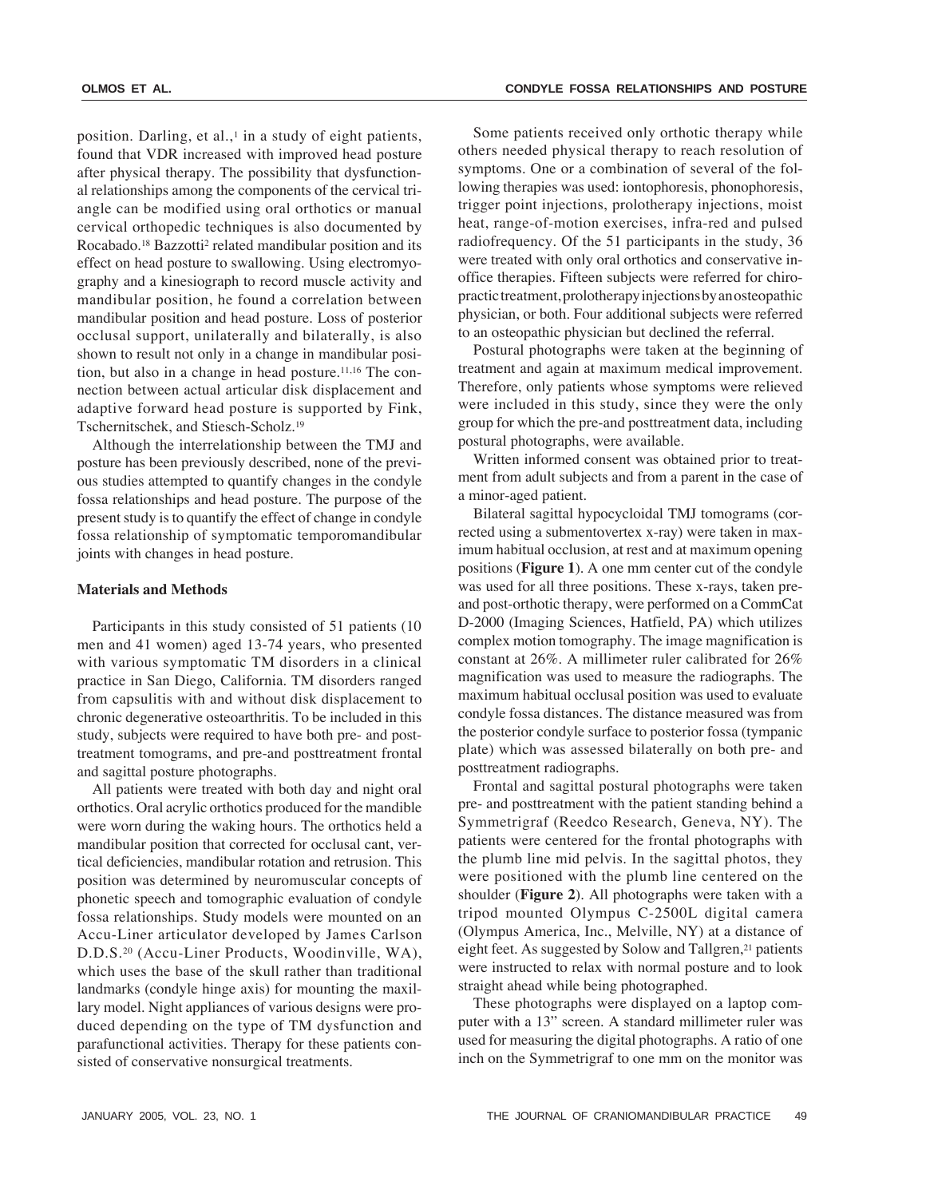position. Darling, et al., $\frac{1}{2}$  in a study of eight patients, found that VDR increased with improved head posture after physical therapy. The possibility that dysfunctional relationships among the components of the cervical triangle can be modified using oral orthotics or manual cervical orthopedic techniques is also documented by Rocabado.<sup>18</sup> Bazzotti<sup>2</sup> related mandibular position and its effect on head posture to swallowing. Using electromyography and a kinesiograph to record muscle activity and mandibular position, he found a correlation between mandibular position and head posture. Loss of posterior occlusal support, unilaterally and bilaterally, is also shown to result not only in a change in mandibular position, but also in a change in head posture.<sup>11,16</sup> The connection between actual articular disk displacement and adaptive forward head posture is supported by Fink, Tschernitschek, and Stiesch-Scholz.19

Although the interrelationship between the TMJ and posture has been previously described, none of the previous studies attempted to quantify changes in the condyle fossa relationships and head posture. The purpose of the present study is to quantify the effect of change in condyle fossa relationship of symptomatic temporomandibular joints with changes in head posture.

## **Materials and Methods**

Participants in this study consisted of 51 patients (10 men and 41 women) aged 13-74 years, who presented with various symptomatic TM disorders in a clinical practice in San Diego, California. TM disorders ranged from capsulitis with and without disk displacement to chronic degenerative osteoarthritis. To be included in this study, subjects were required to have both pre- and posttreatment tomograms, and pre-and posttreatment frontal and sagittal posture photographs.

All patients were treated with both day and night oral orthotics. Oral acrylic orthotics produced for the mandible were worn during the waking hours. The orthotics held a mandibular position that corrected for occlusal cant, vertical deficiencies, mandibular rotation and retrusion. This position was determined by neuromuscular concepts of phonetic speech and tomographic evaluation of condyle fossa relationships. Study models were mounted on an Accu-Liner articulator developed by James Carlson D.D.S.20 (Accu-Liner Products, Woodinville, WA), which uses the base of the skull rather than traditional landmarks (condyle hinge axis) for mounting the maxillary model. Night appliances of various designs were produced depending on the type of TM dysfunction and parafunctional activities. Therapy for these patients consisted of conservative nonsurgical treatments.

Some patients received only orthotic therapy while others needed physical therapy to reach resolution of symptoms. One or a combination of several of the following therapies was used: iontophoresis, phonophoresis, trigger point injections, prolotherapy injections, moist heat, range-of-motion exercises, infra-red and pulsed radiofrequency. Of the 51 participants in the study, 36 were treated with only oral orthotics and conservative inoffice therapies. Fifteen subjects were referred for chiropractic treatment, prolotherapy injections by an osteopathic physician, or both. Four additional subjects were referred to an osteopathic physician but declined the referral.

Postural photographs were taken at the beginning of treatment and again at maximum medical improvement. Therefore, only patients whose symptoms were relieved were included in this study, since they were the only group for which the pre-and posttreatment data, including postural photographs, were available.

Written informed consent was obtained prior to treatment from adult subjects and from a parent in the case of a minor-aged patient.

Bilateral sagittal hypocycloidal TMJ tomograms (corrected using a submentovertex x-ray) were taken in maximum habitual occlusion, at rest and at maximum opening positions (**Figure 1**). A one mm center cut of the condyle was used for all three positions. These x-rays, taken preand post-orthotic therapy, were performed on a CommCat D-2000 (Imaging Sciences, Hatfield, PA) which utilizes complex motion tomography. The image magnification is constant at 26%. A millimeter ruler calibrated for 26% magnification was used to measure the radiographs. The maximum habitual occlusal position was used to evaluate condyle fossa distances. The distance measured was from the posterior condyle surface to posterior fossa (tympanic plate) which was assessed bilaterally on both pre- and posttreatment radiographs.

Frontal and sagittal postural photographs were taken pre- and posttreatment with the patient standing behind a Symmetrigraf (Reedco Research, Geneva, NY). The patients were centered for the frontal photographs with the plumb line mid pelvis. In the sagittal photos, they were positioned with the plumb line centered on the shoulder (**Figure 2**). All photographs were taken with a tripod mounted Olympus C-2500L digital camera (Olympus America, Inc., Melville, NY) at a distance of eight feet. As suggested by Solow and Tallgren,<sup>21</sup> patients were instructed to relax with normal posture and to look straight ahead while being photographed.

These photographs were displayed on a laptop computer with a 13" screen. A standard millimeter ruler was used for measuring the digital photographs. A ratio of one inch on the Symmetrigraf to one mm on the monitor was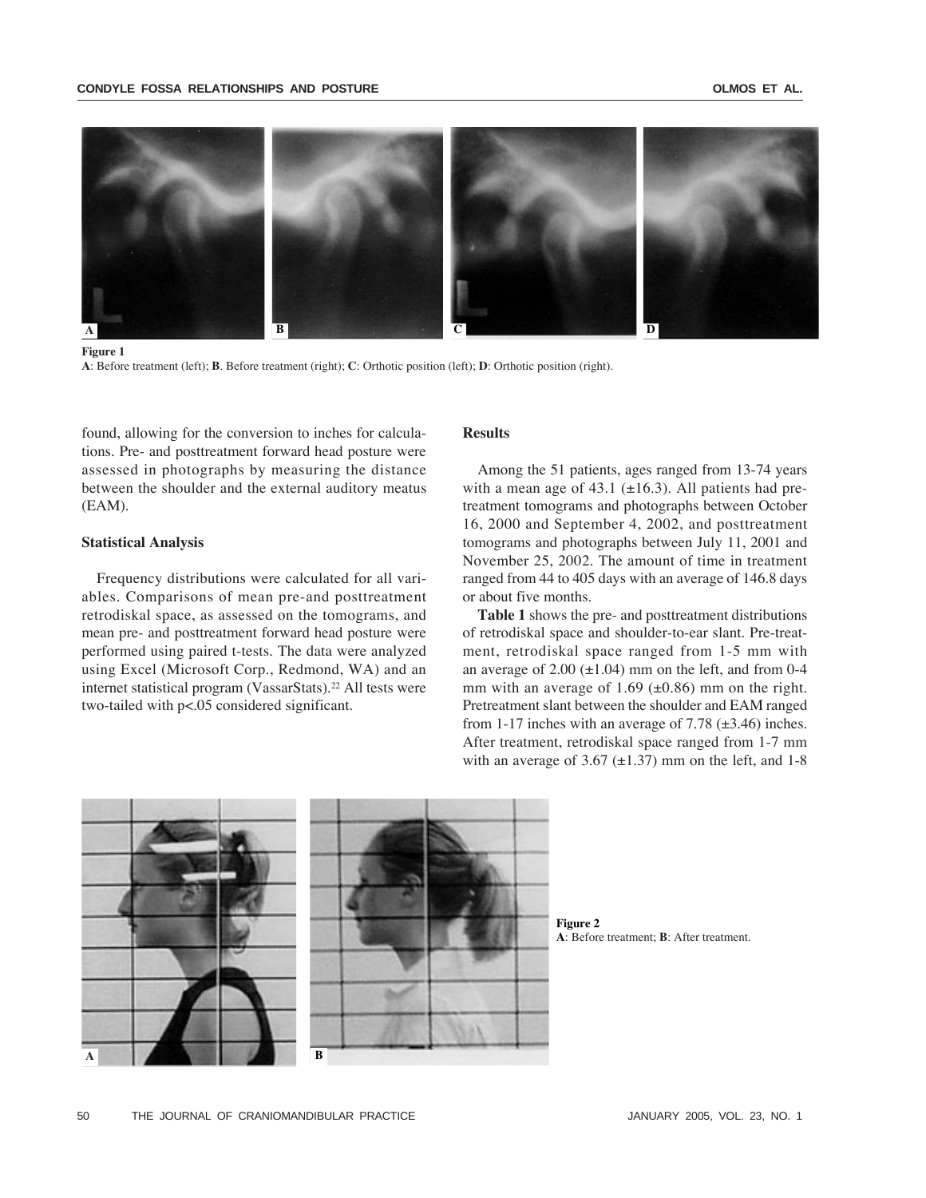

**Figure 1**

**A**: Before treatment (left); **B**. Before treatment (right); **C**: Orthotic position (left); **D**: Orthotic position (right).

found, allowing for the conversion to inches for calculations. Pre- and posttreatment forward head posture were assessed in photographs by measuring the distance between the shoulder and the external auditory meatus (EAM).

## **Statistical Analysis**

Frequency distributions were calculated for all variables. Comparisons of mean pre-and posttreatment retrodiskal space, as assessed on the tomograms, and mean pre- and posttreatment forward head posture were performed using paired t-tests. The data were analyzed using Excel (Microsoft Corp., Redmond, WA) and an internet statistical program (VassarStats).22 All tests were two-tailed with p<.05 considered significant.

# **Results**

Among the 51 patients, ages ranged from 13-74 years with a mean age of  $43.1$  ( $\pm 16.3$ ). All patients had pretreatment tomograms and photographs between October 16, 2000 and September 4, 2002, and posttreatment tomograms and photographs between July 11, 2001 and November 25, 2002. The amount of time in treatment ranged from 44 to 405 days with an average of 146.8 days or about five months.

**Table 1** shows the pre- and posttreatment distributions of retrodiskal space and shoulder-to-ear slant. Pre-treatment, retrodiskal space ranged from 1-5 mm with an average of  $2.00 \ (\pm 1.04)$  mm on the left, and from 0-4 mm with an average of 1.69  $(\pm 0.86)$  mm on the right. Pretreatment slant between the shoulder and EAM ranged from 1-17 inches with an average of 7.78  $(\pm 3.46)$  inches. After treatment, retrodiskal space ranged from 1-7 mm with an average of 3.67  $(\pm 1.37)$  mm on the left, and 1-8



**Figure 2 A**: Before treatment; **B**: After treatment.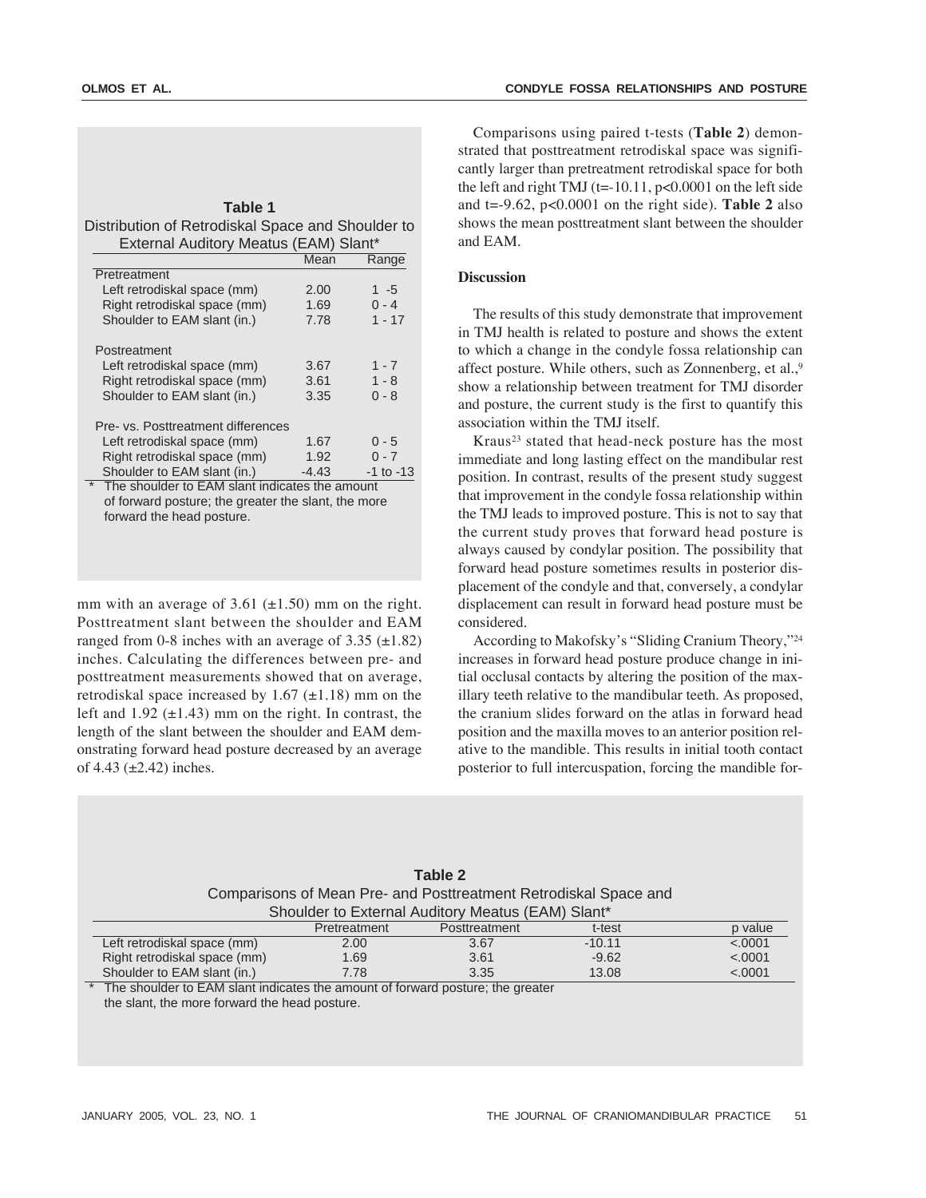| Table 1                                           |  |  |  |                |  |  |  |  |  |  |
|---------------------------------------------------|--|--|--|----------------|--|--|--|--|--|--|
| Distribution of Retrodiskal Space and Shoulder to |  |  |  |                |  |  |  |  |  |  |
|                                                   |  |  |  | $\blacksquare$ |  |  |  |  |  |  |

| External Auditory Meatus (EAM) Slant*                     |         |           |  |  |  |
|-----------------------------------------------------------|---------|-----------|--|--|--|
|                                                           | Mean    | Range     |  |  |  |
| Pretreatment                                              |         |           |  |  |  |
| Left retrodiskal space (mm)                               | 2.00    | 1 -5      |  |  |  |
| Right retrodiskal space (mm)                              | 1.69    | $0 - 4$   |  |  |  |
| Shoulder to EAM slant (in.)                               | 7.78    | $1 - 17$  |  |  |  |
| Postreatment                                              |         |           |  |  |  |
| Left retrodiskal space (mm)                               | 3.67    | $1 - 7$   |  |  |  |
| Right retrodiskal space (mm)                              | 3.61    | $1 - 8$   |  |  |  |
| Shoulder to EAM slant (in.)                               | 3.35    | $0 - 8$   |  |  |  |
| Pre- vs. Posttreatment differences                        |         |           |  |  |  |
| Left retrodiskal space (mm)                               | 1.67    | $0 - 5$   |  |  |  |
| Right retrodiskal space (mm)                              | 1.92    | $0 - 7$   |  |  |  |
| Shoulder to EAM slant (in.)                               | $-4.43$ | -1 to -13 |  |  |  |
| $\star$<br>The shoulder to EAM slant indicates the amount |         |           |  |  |  |

of forward posture; the greater the slant, the more forward the head posture.

mm with an average of 3.61  $(\pm 1.50)$  mm on the right. Posttreatment slant between the shoulder and EAM ranged from 0-8 inches with an average of  $3.35 \ (\pm 1.82)$ inches. Calculating the differences between pre- and posttreatment measurements showed that on average, retrodiskal space increased by  $1.67$  ( $\pm$ 1.18) mm on the left and  $1.92$  ( $\pm$ 1.43) mm on the right. In contrast, the length of the slant between the shoulder and EAM demonstrating forward head posture decreased by an average of  $4.43$  ( $\pm 2.42$ ) inches.

Comparisons using paired t-tests (**Table 2**) demonstrated that posttreatment retrodiskal space was significantly larger than pretreatment retrodiskal space for both the left and right TMJ (t= $-10.11$ , p<0.0001 on the left side and t=-9.62, p<0.0001 on the right side). **Table 2** also shows the mean posttreatment slant between the shoulder and EAM.

# **Discussion**

The results of this study demonstrate that improvement in TMJ health is related to posture and shows the extent to which a change in the condyle fossa relationship can affect posture. While others, such as Zonnenberg, et al.,9 show a relationship between treatment for TMJ disorder and posture, the current study is the first to quantify this association within the TMJ itself.

Kraus23 stated that head-neck posture has the most immediate and long lasting effect on the mandibular rest position. In contrast, results of the present study suggest that improvement in the condyle fossa relationship within the TMJ leads to improved posture. This is not to say that the current study proves that forward head posture is always caused by condylar position. The possibility that forward head posture sometimes results in posterior displacement of the condyle and that, conversely, a condylar displacement can result in forward head posture must be considered.

According to Makofsky's "Sliding Cranium Theory,"24 increases in forward head posture produce change in initial occlusal contacts by altering the position of the maxillary teeth relative to the mandibular teeth. As proposed, the cranium slides forward on the atlas in forward head position and the maxilla moves to an anterior position relative to the mandible. This results in initial tooth contact posterior to full intercuspation, forcing the mandible for-

|                                                                  |              | Table 2       |          |         |  |  |  |  |
|------------------------------------------------------------------|--------------|---------------|----------|---------|--|--|--|--|
| Comparisons of Mean Pre- and Posttreatment Retrodiskal Space and |              |               |          |         |  |  |  |  |
| Shoulder to External Auditory Meatus (EAM) Slant*                |              |               |          |         |  |  |  |  |
|                                                                  | Pretreatment | Posttreatment | t-test   | p value |  |  |  |  |
| Left retrodiskal space (mm)                                      | 2.00         | 3.67          | $-10.11$ | < .0001 |  |  |  |  |
| Right retrodiskal space (mm)                                     | 1.69         | 3.61          | $-9.62$  | < .0001 |  |  |  |  |
| Shoulder to EAM slant (in.)                                      | 7.78         | 3.35          | 13.08    | < .0001 |  |  |  |  |

The shoulder to EAM slant indicates the amount of forward posture; the greater the slant, the more forward the head posture.